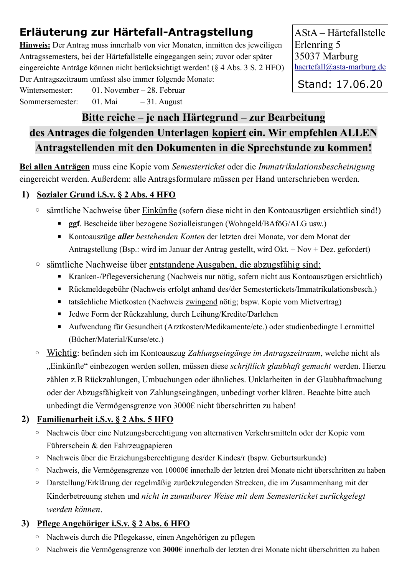# **Erläuterung zur Härtefall-Antragstellung**

**Hinweis:** Der Antrag muss innerhalb von vier Monaten, inmitten des jeweiligen Antragssemesters, bei der Härtefallstelle eingegangen sein; zuvor oder später eingereichte Anträge können nicht berücksichtigt werden! (§ 4 Abs. 3 S. 2 HFO) Der Antragszeitraum umfasst also immer folgende Monate:

AStA – Härtefallstelle Erlenring 5 35037 Marburg [haertefall@asta-marburg.de](mailto:haertefall@asta-marburg.de)

Stand: 17.06.20

**Bitte reiche – je nach Härtegrund – zur Bearbeitung des Antrages die folgenden Unterlagen kopiert ein. Wir empfehlen ALLEN Antragstellenden mit den Dokumenten in die Sprechstunde zu kommen!**

**Bei allen Anträgen** muss eine Kopie vom *Semesterticket* oder die *Immatrikulationsbescheinigung* eingereicht werden. Außerdem: alle Antragsformulare müssen per Hand unterschrieben werden.

### **1) Sozialer Grund i.S.v. § 2 Abs. 4 HFO**

Wintersemester: 01. November – 28. Februar Sommersemester: 01. Mai – 31. August

- sämtliche Nachweise über Einkünfte (sofern diese nicht in den Kontoauszügen ersichtlich sind!)
	- **ggf**. Bescheide über bezogene Sozialleistungen (Wohngeld/BAföG/ALG usw.)
	- Kontoauszüge *aller bestehenden Konten* der letzten drei Monate, vor dem Monat der Antragstellung (Bsp.: wird im Januar der Antrag gestellt, wird Okt. + Nov + Dez. gefordert)
- sämtliche Nachweise über entstandene Ausgaben, die abzugsfähig sind:
	- Kranken-/Pflegeversicherung (Nachweis nur nötig, sofern nicht aus Kontoauszügen ersichtlich)
	- Rückmeldegebühr (Nachweis erfolgt anhand des/der Semestertickets/Immatrikulationsbesch.)
	- tatsächliche Mietkosten (Nachweis zwingend nötig; bspw. Kopie vom Mietvertrag)
	- Jedwe Form der Rückzahlung, durch Leihung/Kredite/Darlehen
	- Aufwendung für Gesundheit (Arztkosten/Medikamente/etc.) oder studienbedingte Lernmittel (Bücher/Material/Kurse/etc.)
- Wichtig: befinden sich im Kontoauszug *Zahlungseingänge im Antragszeitraum*, welche nicht als "Einkünfte" einbezogen werden sollen, müssen diese *schriftlich glaubhaft gemacht* werden. Hierzu zählen z.B Rückzahlungen, Umbuchungen oder ähnliches. Unklarheiten in der Glaubhaftmachung oder der Abzugsfähigkeit von Zahlungseingängen, unbedingt vorher klären. Beachte bitte auch unbedingt die Vermögensgrenze von 3000€ nicht überschritten zu haben!

### **2) Familienarbeit i.S.v. § 2 Abs. 5 HFO**

- Nachweis über eine Nutzungsberechtigung von alternativen Verkehrsmitteln oder der Kopie vom Führerschein & den Fahrzeugpapieren
- Nachweis über die Erziehungsberechtigung des/der Kindes/r (bspw. Geburtsurkunde)
- Nachweis, die Vermögensgrenze von 10000€ innerhalb der letzten drei Monate nicht überschritten zu haben
- Darstellung/Erklärung der regelmäßig zurückzulegenden Strecken, die im Zusammenhang mit der Kinderbetreuung stehen und *nicht in zumutbarer Weise mit dem Semesterticket zurückgelegt werden können*.

### **3) Pflege Angehöriger i.S.v. § 2 Abs. 6 HFO**

- Nachweis durch die Pflegekasse, einen Angehörigen zu pflegen
- Nachweis die Vermögensgrenze von **3000**€ innerhalb der letzten drei Monate nicht überschritten zu haben